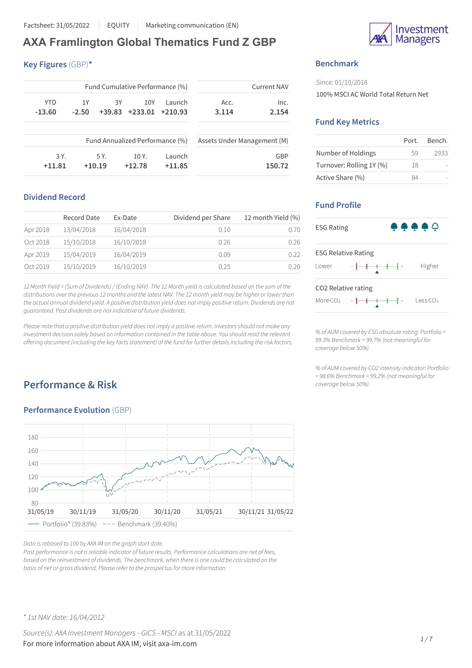# **AXA Framlington Global Thematics Fund Z GBP**

**Key Figures** (GBP)**\***

| <b>Current NAV</b> |                                                                | Fund Cumulative Performance (%) |           |          |         |            |
|--------------------|----------------------------------------------------------------|---------------------------------|-----------|----------|---------|------------|
| Inc.               | Acc.                                                           | Launch                          | 10Y       | 3Υ       | 1Y      | <b>YTD</b> |
| 2.154              | 3.114                                                          | $+210.93$                       | $+233.01$ | $+39.83$ | $-2.50$ | $-13.60$   |
|                    |                                                                |                                 |           |          |         |            |
|                    | Fund Annualized Performance (%)<br>Assets Under Management (M) |                                 |           |          |         |            |
| GBP                |                                                                | Launch                          | 10 Y.     | 5 Y.     |         | 3 Y.       |
| 150.72             |                                                                | $+11.85$                        | $+12.78$  | $+10.19$ |         | $+11.81$   |

## **Dividend Record**

|          | Record Date | Ex-Date    | Dividend per Share | 12 month Yield (%) |
|----------|-------------|------------|--------------------|--------------------|
| Apr 2018 | 13/04/2018  | 16/04/2018 | 0.10               | 0.70               |
| Oct 2018 | 15/10/2018  | 16/10/2018 | 0.26               | 0.26               |
| Apr 2019 | 15/04/2019  | 16/04/2019 | 0.09               | 0.22               |
| Oct 2019 | 15/10/2019  | 16/10/2019 | 0.25               | 0.20               |

12 Month Yield = (Sum of Dividends) / (Ending NAV). The 12 Month yield is calculated based on the sum of the distributions over the previous 12 months and the latest NAV. The 12 month yield may be higher or lower than the actual annual dividend yield. A positive distribution yield does not imply positive return. Dividends are not *guaranteed. Past dividends are not indicative of future dividends.*

Please note that a positive distribution yield does not imply a positive return. Investors should not make any *investment decision solely based on information contained in the table above. You should read the relevant offering document (including the key factsstatement) of the fund for further detailsincluding the risk factors.*

# **Performance & Risk**

## **Performance Evolution** (GBP)



*Data isrebased to 100 by AXA IM on the graph start date.*

*Past performance is not a reliable indicator of future results. Performance calculations are net of fees, based on the reinvestment of dividends. The benchmark, when there is one could be calculated on the basis of net or gross dividend. Please refer to the prospectusfor more information.*



## **Benchmark**

Since: 01/10/2018 100% MSCI AC World Total Return Net

### **Fund Key Metrics**

|                          | Port. | Bench. |
|--------------------------|-------|--------|
| Number of Holdings       | .59   | 2933   |
| Turnover: Rolling 1Y (%) | 18    |        |
| Active Share (%)         | R4    |        |

## **Fund Profile**



*% of AUM covered by ESG absolute rating: Portfolio = 99.3% Benchmark = 99.7% (not meaningful for coverage below 50%)*

*% of AUM covered by CO2 intensity indicator: Portfolio = 98.6% Benchmark = 99.2% (not meaningful for coverage below 50%)*

*\* 1st NAV date: 16/04/2012*

*Source(s): AXA Investment Managers* - *GICS* - *MSCI* as at 31/05/2022 For more information about AXA IM, visit axa-im.com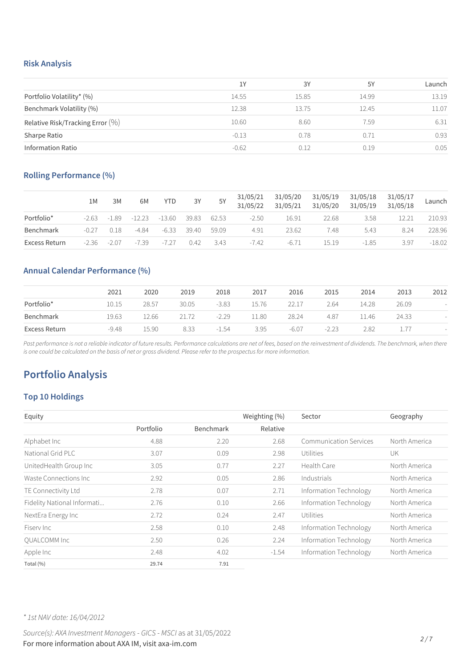### **Risk Analysis**

|                                     | 1Y      | 3Y    | 5Y    | Launch |
|-------------------------------------|---------|-------|-------|--------|
| Portfolio Volatility* (%)           | 14.55   | 15.85 | 14.99 | 13.19  |
| Benchmark Volatility (%)            | 12.38   | 13.75 | 12.45 | 11.07  |
| Relative Risk/Tracking Error $(\%)$ | 10.60   | 8.60  | 7.59  | 6.31   |
| Sharpe Ratio                        | $-0.13$ | 0.78  | 0.71  | 0.93   |
| <b>Information Ratio</b>            | $-0.62$ | 0.12  | 0.19  | 0.05   |

## **Rolling Performance (%)**

|               | 1M      | 3M      | 6M      | <b>YTD</b> | 3Y    | 5Y    | 31/05/21<br>31/05/22 | 31/05/20<br>31/05/21 | 31/05/19<br>31/05/20 | 31/05/18<br>31/05/19 | 31/05/17<br>31/05/18 | Launch   |
|---------------|---------|---------|---------|------------|-------|-------|----------------------|----------------------|----------------------|----------------------|----------------------|----------|
| Portfolio*    | $-2.63$ | $-1.89$ | -12.23  | $-13.60$   | 39.83 | 62.53 | $-2.50$              | 16.91                | 22.68                | 3.58                 |                      | 210.93   |
| Benchmark     | $-0.27$ | 0.18    | $-4.84$ | $-6.33$    | 39.40 | 59.09 | 4.91                 | 23.62                | 7.48                 | 5.43                 | 8.24                 | 228.96   |
| Excess Return | $-2.36$ | $-2.07$ | $-7.39$ | $-7.27$    | 0.42  | 3.43  | $-7.42$              | $-6.71$              | 15.19                | $-1.85$              | 3.97                 | $-18.02$ |

## **Annual Calendar Performance (%)**

|               | 2021    | 2020  | 2019  | 2018    | 2017  | 2016    | 2015    | 2014  | 2013  | 2012 |
|---------------|---------|-------|-------|---------|-------|---------|---------|-------|-------|------|
| Portfolio*    | 10.15   | 28.57 | 30.05 | $-3.83$ | 15.76 | 22.17   | 2.64    | 14.28 | 26.09 |      |
| Benchmark     | 19.63   | 12.66 | 21.72 | $-2.29$ | 11.80 | 28.24   | 4.87    | ⊥1.46 | 24.33 |      |
| Excess Return | $-9.48$ | 15.90 | 8.33  | $-1.54$ | 3.95  | $-6.07$ | $-2.23$ | 2.82  |       |      |

Past performance is not a reliable indicator of future results. Performance calculations are net of fees, based on the reinvestment of dividends. The benchmark, when there is one could be calculated on the basis of net or gross dividend. Please refer to the prospectus for more information.

# **Portfolio Analysis**

## **Top 10 Holdings**

| Equity                      |           |                  | Weighting (%) | Sector                 | Geography     |
|-----------------------------|-----------|------------------|---------------|------------------------|---------------|
|                             | Portfolio | <b>Benchmark</b> | Relative      |                        |               |
| Alphabet Inc                | 4.88      | 2.20             | 2.68          | Communication Services | North America |
| National Grid PLC           | 3.07      | 0.09             | 2.98          | Utilities              | UK            |
| UnitedHealth Group Inc      | 3.05      | 0.77             | 2.27          | Health Care            | North America |
| Waste Connections Inc.      | 2.92      | 0.05             | 2.86          | Industrials            | North America |
| TE Connectivity Ltd         | 2.78      | 0.07             | 2.71          | Information Technology | North America |
| Fidelity National Informati | 2.76      | 0.10             | 2.66          | Information Technology | North America |
| NextEra Energy Inc          | 2.72      | 0.24             | 2.47          | Utilities              | North America |
| Fisery Inc.                 | 2.58      | 0.10             | 2.48          | Information Technology | North America |
| <b>OUALCOMM Inc</b>         | 2.50      | 0.26             | 2.24          | Information Technology | North America |
| Apple Inc                   | 2.48      | 4.02             | $-1.54$       | Information Technology | North America |
| Total (%)                   | 29.74     | 7.91             |               |                        |               |

*\* 1st NAV date: 16/04/2012*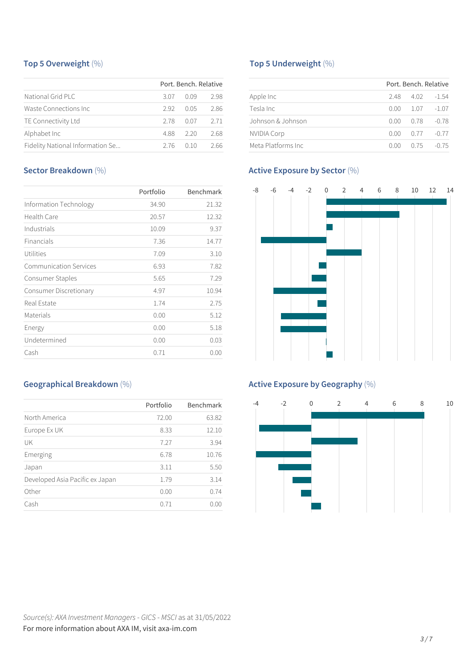## **Top 5 Overweight** (%)

|                                  |      | Port, Bench, Relative |      |
|----------------------------------|------|-----------------------|------|
| National Grid PLC                | 3.07 | 0 Q 9                 | 298  |
| Waste Connections Inc.           | 292  | O 0.5                 | 2.86 |
| TE Connectivity Ltd              | 278  | 0.07                  | 2.71 |
| Alphabet Inc                     | 488  | 220                   | 2.68 |
| Fidelity National Information Se | 276  | 0. I O                | 2.66 |

## **Sector Breakdown** (%)

|                               | Portfolio | Benchmark |
|-------------------------------|-----------|-----------|
| Information Technology        | 34.90     | 21.32     |
| Health Care                   | 20.57     | 12.32     |
| Industrials                   | 10.09     | 9.37      |
| Financials                    | 7.36      | 14.77     |
| Utilities                     | 7.09      | 3.10      |
| <b>Communication Services</b> | 6.93      | 7.82      |
| Consumer Staples              | 5.65      | 7.29      |
| Consumer Discretionary        | 4.97      | 10.94     |
| Real Estate                   | 1.74      | 2.75      |
| Materials                     | 0.00      | 5.12      |
| Energy                        | 0.00      | 5.18      |
| Undetermined                  | 0.00      | 0.03      |
| Cash                          | 0.71      | 0.00      |

## **Geographical Breakdown** (%)

|                                 | Portfolio | Benchmark |
|---------------------------------|-----------|-----------|
| North America                   | 72.00     | 63.82     |
| Europe Ex UK                    | 8.33      | 12.10     |
| UK                              | 7.27      | 3.94      |
| Emerging                        | 6.78      | 10.76     |
| Japan                           | 3.11      | 5.50      |
| Developed Asia Pacific ex Japan | 1.79      | 3.14      |
| Other                           | 0.00      | 0.74      |
| Cash                            | 0.71      | 0.00      |
|                                 |           |           |

## **Top 5 Underweight** (%)

|                     |      | Port, Bench, Relative |         |
|---------------------|------|-----------------------|---------|
| Apple Inc           | 248  | 4.02                  | $-1.54$ |
| Tesla Inc.          | 0.00 | 1.07                  | $-1.07$ |
| Johnson & Johnson   | 0.00 | 0.78                  | -0.78   |
| <b>NVIDIA Corp</b>  | 0.OO | 0.77                  | $-0.77$ |
| Meta Platforms Inc. | 0.OO | 0.75                  | $-0.75$ |

## **Active Exposure by Sector** (%)



## **Active Exposure by Geography** (%)

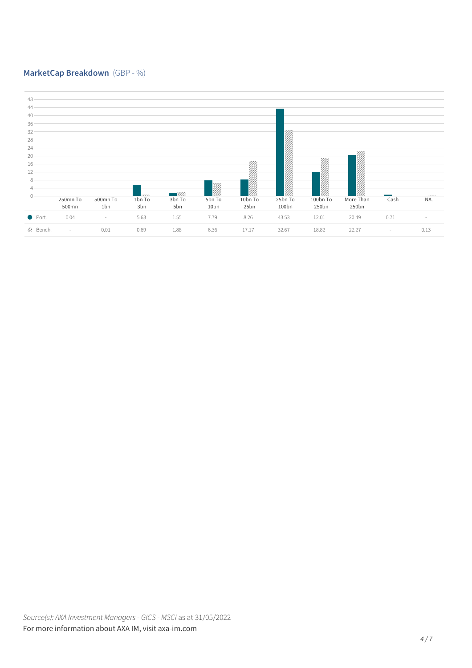## **MarketCap Breakdown** (GBP - %)

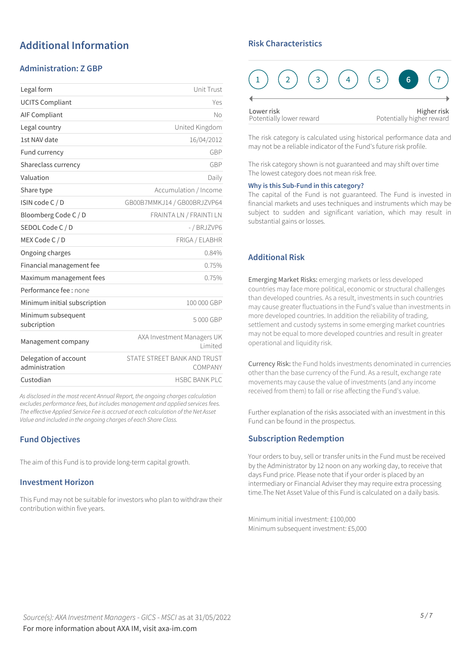# **Additional Information**

## **Administration: Z GBP**

| Legal form                              | Unit Trust                             |
|-----------------------------------------|----------------------------------------|
| <b>UCITS Compliant</b>                  | Yes                                    |
| <b>AIF Compliant</b>                    | No                                     |
| Legal country                           | United Kingdom                         |
| 1st NAV date                            | 16/04/2012                             |
| Fund currency                           | GBP                                    |
| Shareclass currency                     | GBP                                    |
| Valuation                               | Daily                                  |
| Share type                              | Accumulation / Income                  |
| ISIN code C / D                         | GB00B7MMKJ14 / GB00BRJZVP64            |
| Bloomberg Code C / D                    | FRAINTA LN / FRAINTI LN                |
| SEDOL Code C / D                        | -/BRJZVP6                              |
| MEX Code C / D                          | FRIGA / ELABHR                         |
| Ongoing charges                         | 0.84%                                  |
| Financial management fee                | 0.75%                                  |
| Maximum management fees                 | 0.75%                                  |
| Performance fee : none                  |                                        |
| Minimum initial subscription            | 100 000 GBP                            |
| Minimum subsequent<br>subcription       | 5000 GBP                               |
| Management company                      | AXA Investment Managers UK<br>Limited  |
| Delegation of account<br>administration | STATE STREET BANK AND TRUST<br>COMPANY |
| Custodian                               | <b>HSBC BANK PLC</b>                   |
|                                         |                                        |

*As disclosed in the most recent Annual Report, the ongoing charges calculation excludes performance fees, but includes management and applied servicesfees. The effective Applied Service Fee is accrued at each calculation of the Net Asset Value and included in the ongoing charges of each Share Class.*

## **Fund Objectives**

The aim of this Fund is to provide long-term capital growth.

### **Investment Horizon**

This Fund may not be suitable for investors who plan to withdraw their contribution within five years.

### **Risk Characteristics**



The risk category is calculated using historical performance data and may not be a reliable indicator of the Fund's future risk profile.

The risk category shown is not guaranteed and may shift over time The lowest category does not mean risk free.

#### **Why is this Sub-Fund in this category?**

The capital of the Fund is not guaranteed. The Fund is invested in financial markets and uses techniques and instruments which may be subject to sudden and significant variation, which may result in substantial gains or losses.

## **Additional Risk**

Emerging Market Risks: emerging markets or less developed countries may face more political, economic or structural challenges than developed countries. As a result, investments in such countries may cause greater fluctuations in the Fund's value than investments in more developed countries. In addition the reliability of trading, settlement and custody systems in some emerging market countries may not be equal to more developed countries and result in greater operational and liquidity risk.

Currency Risk: the Fund holds investments denominated in currencies other than the base currency of the Fund. As a result, exchange rate movements may cause the value of investments (and any income received from them) to fall or rise affecting the Fund's value.

Further explanation of the risks associated with an investment in this Fund can be found in the prospectus.

### **Subscription Redemption**

Your orders to buy, sell or transfer units in the Fund must be received by the Administrator by 12 noon on any working day, to receive that days Fund price. Please note that if your order is placed by an intermediary or Financial Adviser they may require extra processing time.The Net Asset Value of this Fund is calculated on a daily basis.

Minimum initial investment: £100,000 Minimum subsequent investment: £5,000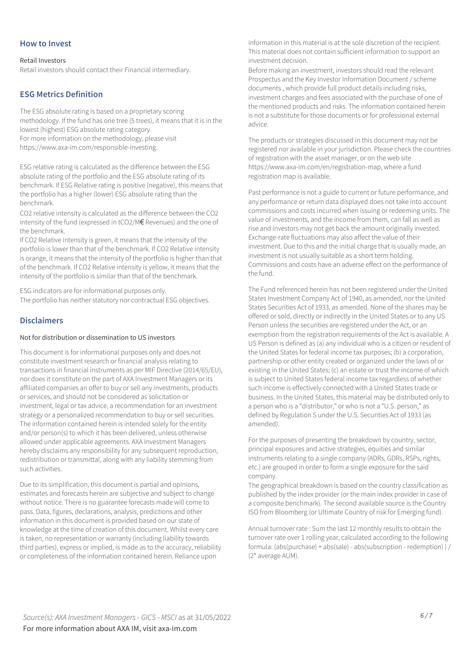### **How to Invest**

#### Retail Investors

Retail investors should contact their Financial intermediary.

### **ESG Metrics Definition**

The ESG absolute rating is based on a proprietary scoring methodology. If the fund has one tree (5 trees), it means that it is in the lowest (highest) ESG absolute rating category. For more information on the methodology, please visit https://www.axa-im.com/responsible-investing.

ESG relative rating is calculated as the difference between the ESG absolute rating of the portfolio and the ESG absolute rating of its benchmark. If ESG Relative rating is positive (negative), this means that the portfolio has a higher (lower) ESG absolute rating than the benchmark.

CO2 relative intensity is calculated as the difference between the CO2 intensity of the fund (expressed in tCO2/M€ Revenues) and the one of the benchmark.

If CO2 Relative intensity is green, it means that the intensity of the portfolio is lower than that of the benchmark. If CO2 Relative intensity is orange, it means that the intensity of the portfolio is higher than that of the benchmark. If CO2 Relative intensity is yellow, it means that the intensity of the portfolio is similar than that of the benchmark.

ESG indicators are for informational purposes only. The portfolio has neither statutory nor contractual ESG objectives.

### **Disclaimers**

#### Not for distribution or dissemination to US investors

This document is for informational purposes only and does not constitute investment research or financial analysis relating to transactions in financial instruments as per MIF Directive (2014/65/EU), nor does it constitute on the part of AXA Investment Managers or its affiliated companies an offer to buy or sell any investments, products or services, and should not be considered as solicitation or investment, legal or tax advice, a recommendation for an investment strategy or a personalized recommendation to buy or sell securities. The information contained herein is intended solely for the entity and/or person(s) to which it has been delivered, unless otherwise allowed under applicable agreements. AXA Investment Managers hereby disclaims any responsibility for any subsequent reproduction, redistribution or transmittal, along with any liability stemming from such activities.

Due to its simplification, this document is partial and opinions, estimates and forecasts herein are subjective and subject to change without notice. There is no guarantee forecasts made will come to pass. Data, figures, declarations, analysis, predictions and other information in this document is provided based on our state of knowledge at the time of creation of this document. Whilst every care is taken, no representation or warranty (including liability towards third parties), express or implied, is made as to the accuracy, reliability or completeness of the information contained herein. Reliance upon

information in this material is at the sole discretion of the recipient. This material does not contain sufficient information to support an investment decision.

Before making an investment, investors should read the relevant Prospectus and the Key Investor Information Document / scheme documents , which provide full product details including risks, investment charges and fees associated with the purchase of one of the mentioned products and risks. The information contained herein is not a substitute for those documents or for professional external advice.

The products or strategies discussed in this document may not be registered nor available in your jurisdiction. Please check the countries of registration with the asset manager, or on the web site https://www.axa-im.com/en/registration-map, where a fund registration map is available.

Past performance is not a guide to current or future performance, and any performance or return data displayed does not take into account commissions and costs incurred when issuing or redeeming units. The value of investments, and the income from them, can fall as well as rise and investors may not get back the amount originally invested. Exchange-rate fluctuations may also affect the value of their investment. Due to this and the initial charge that is usually made, an investment is not usually suitable as a short term holding. Commissions and costs have an adverse effect on the performance of the fund.

The Fund referenced herein has not been registered under the United States Investment Company Act of 1940, as amended, nor the United States Securities Act of 1933, as amended. None of the shares may be offered or sold, directly or indirectly in the United States or to any US Person unless the securities are registered under the Act, or an exemption from the registration requirements of the Act is available. A US Person is defined as (a) any individual who is a citizen or resident of the United States for federal income tax purposes; (b) a corporation, partnership or other entity created or organized under the laws of or existing in the United States; (c) an estate or trust the income of which is subject to United States federal income tax regardless of whether such income is effectively connected with a United States trade or business. In the United States, this material may be distributed only to a person who is a "distributor," or who is not a "U.S. person," as defined by Regulation S under the U.S. Securities Act of 1933 (as amended).

For the purposes of presenting the breakdown by country, sector, principal exposures and active strategies, equities and similar instruments relating to a single company (ADRs, GDRs, RSPs, rights, etc.) are grouped in order to form a single exposure for the said company.

The geographical breakdown is based on the country classification as published by the index provider (or the main index provider in case of a composite benchmark). The second available source is the Country ISO from Bloomberg (or Ultimate Country of risk for Emerging fund).

Annual turnover rate : Sum the last 12 monthly results to obtain the turnover rate over 1 rolling year, calculated according to the following formula: (abs(purchase) + abs(sale) - abs(subscription - redemption)  $)/$ (2\* average AUM).